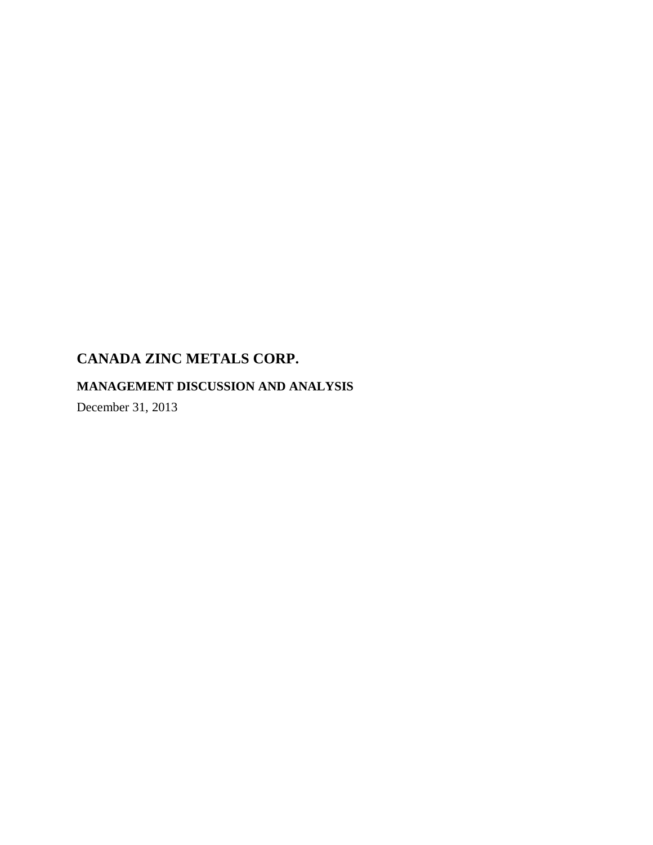# **MANAGEMENT DISCUSSION AND ANALYSIS**

December 31, 2013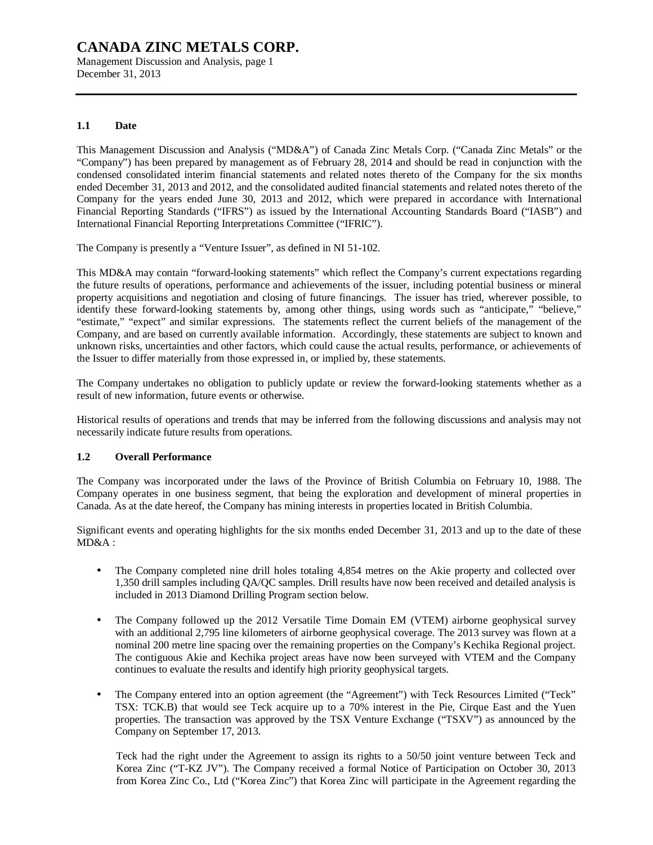Management Discussion and Analysis, page 1 December 31, 2013

#### **1.1 Date**

This Management Discussion and Analysis ("MD&A") of Canada Zinc Metals Corp. ("Canada Zinc Metals" or the "Company") has been prepared by management as of February 28, 2014 and should be read in conjunction with the condensed consolidated interim financial statements and related notes thereto of the Company for the six months ended December 31, 2013 and 2012, and the consolidated audited financial statements and related notes thereto of the Company for the years ended June 30, 2013 and 2012, which were prepared in accordance with International Financial Reporting Standards ("IFRS") as issued by the International Accounting Standards Board ("IASB") and International Financial Reporting Interpretations Committee ("IFRIC").

The Company is presently a "Venture Issuer", as defined in NI 51-102.

This MD&A may contain "forward-looking statements" which reflect the Company's current expectations regarding the future results of operations, performance and achievements of the issuer, including potential business or mineral property acquisitions and negotiation and closing of future financings. The issuer has tried, wherever possible, to identify these forward-looking statements by, among other things, using words such as "anticipate," "believe," "estimate," "expect" and similar expressions. The statements reflect the current beliefs of the management of the Company, and are based on currently available information. Accordingly, these statements are subject to known and unknown risks, uncertainties and other factors, which could cause the actual results, performance, or achievements of the Issuer to differ materially from those expressed in, or implied by, these statements.

The Company undertakes no obligation to publicly update or review the forward-looking statements whether as a result of new information, future events or otherwise.

Historical results of operations and trends that may be inferred from the following discussions and analysis may not necessarily indicate future results from operations.

#### **1.2 Overall Performance**

The Company was incorporated under the laws of the Province of British Columbia on February 10, 1988. The Company operates in one business segment, that being the exploration and development of mineral properties in Canada. As at the date hereof, the Company has mining interests in properties located in British Columbia.

Significant events and operating highlights for the six months ended December 31, 2013 and up to the date of these MD&A :

- The Company completed nine drill holes totaling 4,854 metres on the Akie property and collected over 1,350 drill samples including QA/QC samples. Drill results have now been received and detailed analysis is included in 2013 Diamond Drilling Program section below.
- The Company followed up the 2012 Versatile Time Domain EM (VTEM) airborne geophysical survey with an additional 2,795 line kilometers of airborne geophysical coverage. The 2013 survey was flown at a nominal 200 metre line spacing over the remaining properties on the Company's Kechika Regional project. The contiguous Akie and Kechika project areas have now been surveyed with VTEM and the Company continues to evaluate the results and identify high priority geophysical targets.
- The Company entered into an option agreement (the "Agreement") with Teck Resources Limited ("Teck" TSX: TCK.B) that would see Teck acquire up to a 70% interest in the Pie, Cirque East and the Yuen properties. The transaction was approved by the TSX Venture Exchange ("TSXV") as announced by the Company on September 17, 2013.

Teck had the right under the Agreement to assign its rights to a 50/50 joint venture between Teck and Korea Zinc ("T-KZ JV"). The Company received a formal Notice of Participation on October 30, 2013 from Korea Zinc Co., Ltd ("Korea Zinc") that Korea Zinc will participate in the Agreement regarding the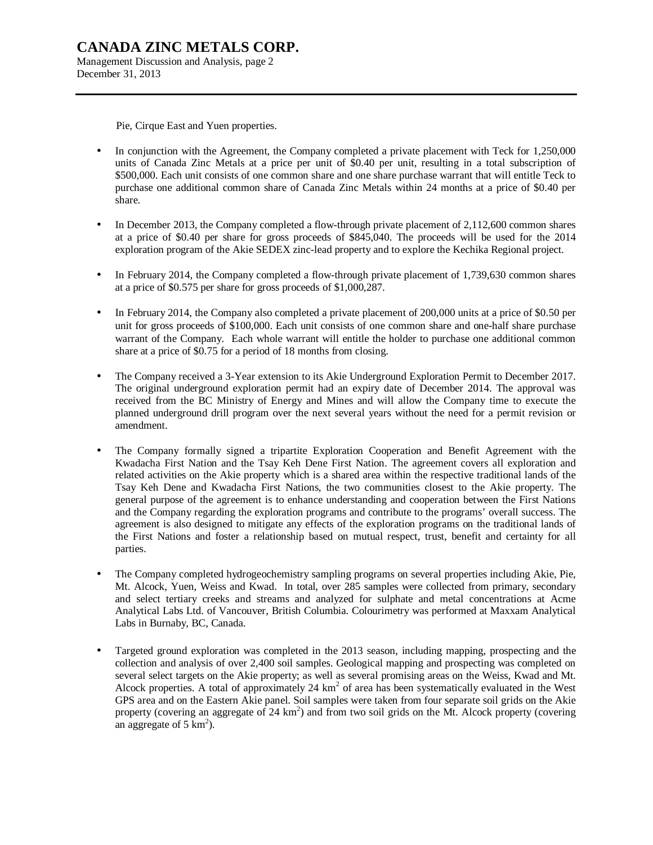Pie, Cirque East and Yuen properties.

- In conjunction with the Agreement, the Company completed a private placement with Teck for 1,250,000 units of Canada Zinc Metals at a price per unit of \$0.40 per unit, resulting in a total subscription of \$500,000. Each unit consists of one common share and one share purchase warrant that will entitle Teck to purchase one additional common share of Canada Zinc Metals within 24 months at a price of \$0.40 per share.
- In December 2013, the Company completed a flow-through private placement of 2,112,600 common shares at a price of \$0.40 per share for gross proceeds of \$845,040. The proceeds will be used for the 2014 exploration program of the Akie SEDEX zinc-lead property and to explore the Kechika Regional project.
- In February 2014, the Company completed a flow-through private placement of 1,739,630 common shares at a price of \$0.575 per share for gross proceeds of \$1,000,287.
- In February 2014, the Company also completed a private placement of 200,000 units at a price of \$0.50 per unit for gross proceeds of \$100,000. Each unit consists of one common share and one-half share purchase warrant of the Company. Each whole warrant will entitle the holder to purchase one additional common share at a price of \$0.75 for a period of 18 months from closing.
- The Company received a 3-Year extension to its Akie Underground Exploration Permit to December 2017. The original underground exploration permit had an expiry date of December 2014. The approval was received from the BC Ministry of Energy and Mines and will allow the Company time to execute the planned underground drill program over the next several years without the need for a permit revision or amendment.
- The Company formally signed a tripartite Exploration Cooperation and Benefit Agreement with the Kwadacha First Nation and the Tsay Keh Dene First Nation. The agreement covers all exploration and related activities on the Akie property which is a shared area within the respective traditional lands of the Tsay Keh Dene and Kwadacha First Nations, the two communities closest to the Akie property. The general purpose of the agreement is to enhance understanding and cooperation between the First Nations and the Company regarding the exploration programs and contribute to the programs' overall success. The agreement is also designed to mitigate any effects of the exploration programs on the traditional lands of the First Nations and foster a relationship based on mutual respect, trust, benefit and certainty for all parties.
- The Company completed hydrogeochemistry sampling programs on several properties including Akie, Pie, Mt. Alcock, Yuen, Weiss and Kwad. In total, over 285 samples were collected from primary, secondary and select tertiary creeks and streams and analyzed for sulphate and metal concentrations at Acme Analytical Labs Ltd. of Vancouver, British Columbia. Colourimetry was performed at Maxxam Analytical Labs in Burnaby, BC, Canada.
- Targeted ground exploration was completed in the 2013 season, including mapping, prospecting and the collection and analysis of over 2,400 soil samples. Geological mapping and prospecting was completed on several select targets on the Akie property; as well as several promising areas on the Weiss, Kwad and Mt. Alcock properties. A total of approximately 24  $km<sup>2</sup>$  of area has been systematically evaluated in the West GPS area and on the Eastern Akie panel. Soil samples were taken from four separate soil grids on the Akie property (covering an aggregate of  $24 \text{ km}^2$ ) and from two soil grids on the Mt. Alcock property (covering an aggregate of  $5 \text{ km}^2$ ).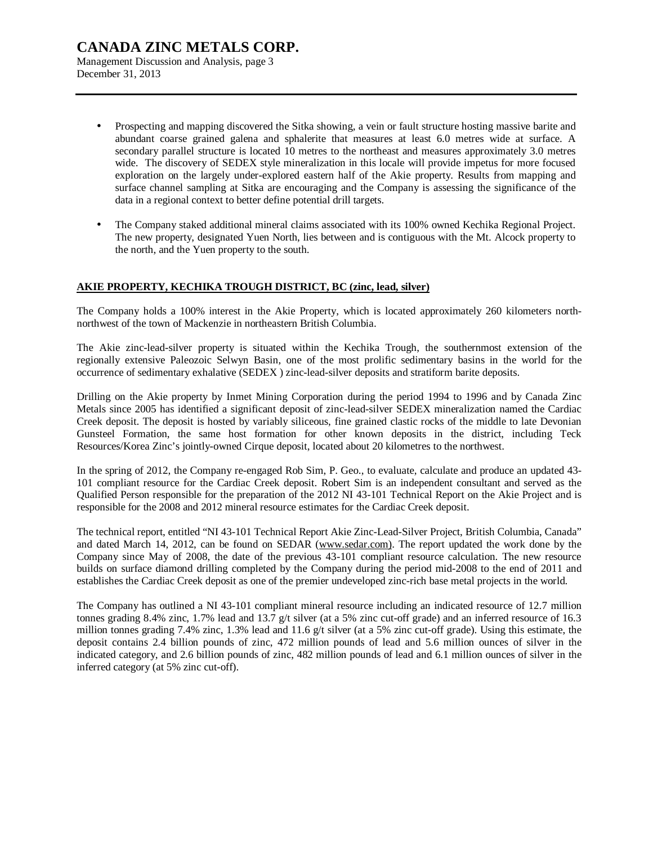Management Discussion and Analysis, page 3 December 31, 2013

- Prospecting and mapping discovered the Sitka showing, a vein or fault structure hosting massive barite and abundant coarse grained galena and sphalerite that measures at least 6.0 metres wide at surface. A secondary parallel structure is located 10 metres to the northeast and measures approximately 3.0 metres wide. The discovery of SEDEX style mineralization in this locale will provide impetus for more focused exploration on the largely under-explored eastern half of the Akie property. Results from mapping and surface channel sampling at Sitka are encouraging and the Company is assessing the significance of the data in a regional context to better define potential drill targets.
- The Company staked additional mineral claims associated with its 100% owned Kechika Regional Project. The new property, designated Yuen North, lies between and is contiguous with the Mt. Alcock property to the north, and the Yuen property to the south.

### **AKIE PROPERTY, KECHIKA TROUGH DISTRICT, BC (zinc, lead, silver)**

The Company holds a 100% interest in the Akie Property, which is located approximately 260 kilometers northnorthwest of the town of Mackenzie in northeastern British Columbia.

The Akie zinc-lead-silver property is situated within the Kechika Trough, the southernmost extension of the regionally extensive Paleozoic Selwyn Basin, one of the most prolific sedimentary basins in the world for the occurrence of sedimentary exhalative (SEDEX ) zinc-lead-silver deposits and stratiform barite deposits.

Drilling on the Akie property by Inmet Mining Corporation during the period 1994 to 1996 and by Canada Zinc Metals since 2005 has identified a significant deposit of zinc-lead-silver SEDEX mineralization named the Cardiac Creek deposit. The deposit is hosted by variably siliceous, fine grained clastic rocks of the middle to late Devonian Gunsteel Formation, the same host formation for other known deposits in the district, including Teck Resources/Korea Zinc's jointly-owned Cirque deposit, located about 20 kilometres to the northwest.

In the spring of 2012, the Company re-engaged Rob Sim, P. Geo., to evaluate, calculate and produce an updated 43- 101 compliant resource for the Cardiac Creek deposit. Robert Sim is an independent consultant and served as the Qualified Person responsible for the preparation of the 2012 NI 43-101 Technical Report on the Akie Project and is responsible for the 2008 and 2012 mineral resource estimates for the Cardiac Creek deposit.

The technical report, entitled "NI 43-101 Technical Report Akie Zinc-Lead-Silver Project, British Columbia, Canada" and dated March 14, 2012, can be found on SEDAR [\(www.sedar.com\).](http://www.sedar.com)) The report updated the work done by the Company since May of 2008, the date of the previous 43-101 compliant resource calculation. The new resource builds on surface diamond drilling completed by the Company during the period mid-2008 to the end of 2011 and establishes the Cardiac Creek deposit as one of the premier undeveloped zinc-rich base metal projects in the world.

The Company has outlined a NI 43-101 compliant mineral resource including an indicated resource of 12.7 million tonnes grading 8.4% zinc, 1.7% lead and 13.7 g/t silver (at a 5% zinc cut-off grade) and an inferred resource of 16.3 million tonnes grading 7.4% zinc, 1.3% lead and 11.6 g/t silver (at a 5% zinc cut-off grade). Using this estimate, the deposit contains 2.4 billion pounds of zinc, 472 million pounds of lead and 5.6 million ounces of silver in the indicated category, and 2.6 billion pounds of zinc, 482 million pounds of lead and 6.1 million ounces of silver in the inferred category (at 5% zinc cut-off).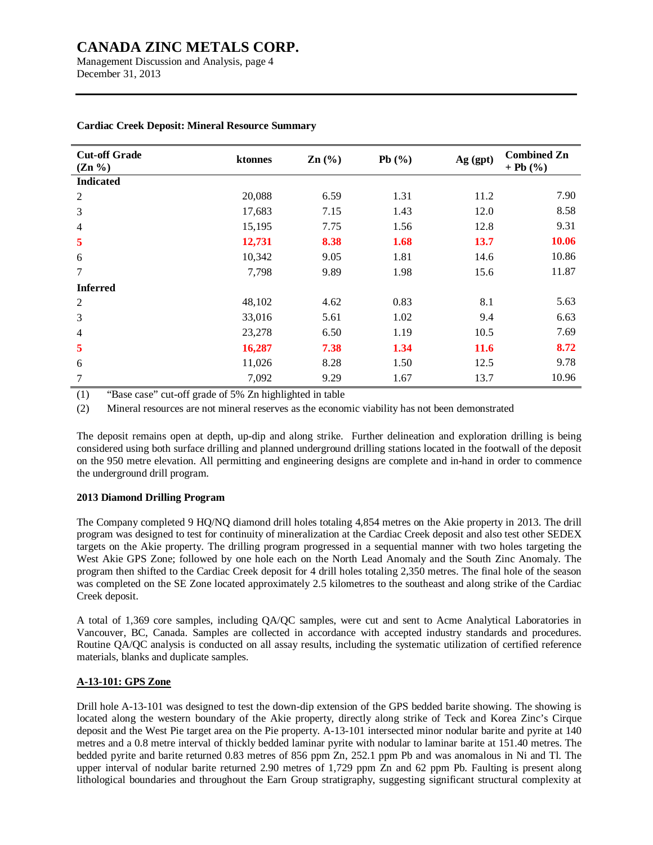Management Discussion and Analysis, page 4 December 31, 2013

| <b>Cut-off Grade</b><br>$(Zn \%)$ | ktonnes | $\text{Zn}$ $\left(\frac{9}{6}\right)$ | Pb $(%$ | Ag (gpt) | <b>Combined Zn</b><br>+ Pb $(%$ |
|-----------------------------------|---------|----------------------------------------|---------|----------|---------------------------------|
| <b>Indicated</b>                  |         |                                        |         |          |                                 |
| 2                                 | 20,088  | 6.59                                   | 1.31    | 11.2     | 7.90                            |
| 3                                 | 17,683  | 7.15                                   | 1.43    | 12.0     | 8.58                            |
| $\overline{4}$                    | 15,195  | 7.75                                   | 1.56    | 12.8     | 9.31                            |
| 5                                 | 12,731  | 8.38                                   | 1.68    | 13.7     | 10.06                           |
| 6                                 | 10,342  | 9.05                                   | 1.81    | 14.6     | 10.86                           |
| 7                                 | 7,798   | 9.89                                   | 1.98    | 15.6     | 11.87                           |
| <b>Inferred</b>                   |         |                                        |         |          |                                 |
| $\overline{2}$                    | 48,102  | 4.62                                   | 0.83    | 8.1      | 5.63                            |
| 3                                 | 33,016  | 5.61                                   | 1.02    | 9.4      | 6.63                            |
| $\overline{\mathcal{A}}$          | 23,278  | 6.50                                   | 1.19    | 10.5     | 7.69                            |
| 5                                 | 16,287  | 7.38                                   | 1.34    | 11.6     | 8.72                            |
| 6                                 | 11,026  | 8.28                                   | 1.50    | 12.5     | 9.78                            |
| $\tau$                            | 7,092   | 9.29                                   | 1.67    | 13.7     | 10.96                           |

#### **Cardiac Creek Deposit: Mineral Resource Summary**

(1) "Base case" cut-off grade of 5% Zn highlighted in table

(2) Mineral resources are not mineral reserves as the economic viability has not been demonstrated

The deposit remains open at depth, up-dip and along strike. Further delineation and exploration drilling is being considered using both surface drilling and planned underground drilling stations located in the footwall of the deposit on the 950 metre elevation. All permitting and engineering designs are complete and in-hand in order to commence the underground drill program.

#### **2013 Diamond Drilling Program**

The Company completed 9 HQ/NQ diamond drill holes totaling 4,854 metres on the Akie property in 2013. The drill program was designed to test for continuity of mineralization at the Cardiac Creek deposit and also test other SEDEX targets on the Akie property. The drilling program progressed in a sequential manner with two holes targeting the West Akie GPS Zone; followed by one hole each on the North Lead Anomaly and the South Zinc Anomaly. The program then shifted to the Cardiac Creek deposit for 4 drill holes totaling 2,350 metres. The final hole of the season was completed on the SE Zone located approximately 2.5 kilometres to the southeast and along strike of the Cardiac Creek deposit.

A total of 1,369 core samples, including QA/QC samples, were cut and sent to Acme Analytical Laboratories in Vancouver, BC, Canada. Samples are collected in accordance with accepted industry standards and procedures. Routine QA/QC analysis is conducted on all assay results, including the systematic utilization of certified reference materials, blanks and duplicate samples.

#### **A-13-101: GPS Zone**

Drill hole A-13-101 was designed to test the down-dip extension of the GPS bedded barite showing. The showing is located along the western boundary of the Akie property, directly along strike of Teck and Korea Zinc's Cirque deposit and the West Pie target area on the Pie property. A-13-101 intersected minor nodular barite and pyrite at 140 metres and a 0.8 metre interval of thickly bedded laminar pyrite with nodular to laminar barite at 151.40 metres. The bedded pyrite and barite returned 0.83 metres of 856 ppm Zn, 252.1 ppm Pb and was anomalous in Ni and Tl. The upper interval of nodular barite returned 2.90 metres of 1,729 ppm Zn and 62 ppm Pb. Faulting is present along lithological boundaries and throughout the Earn Group stratigraphy, suggesting significant structural complexity at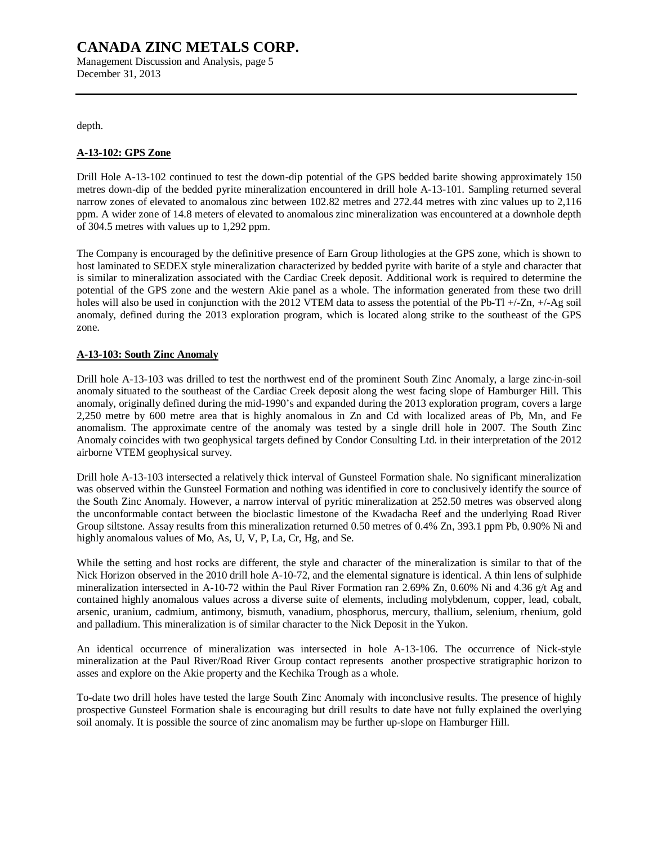Management Discussion and Analysis, page 5 December 31, 2013

depth.

#### **A-13-102: GPS Zone**

Drill Hole A-13-102 continued to test the down-dip potential of the GPS bedded barite showing approximately 150 metres down-dip of the bedded pyrite mineralization encountered in drill hole A-13-101. Sampling returned several narrow zones of elevated to anomalous zinc between 102.82 metres and 272.44 metres with zinc values up to 2,116 ppm. A wider zone of 14.8 meters of elevated to anomalous zinc mineralization was encountered at a downhole depth of 304.5 metres with values up to 1,292 ppm.

The Company is encouraged by the definitive presence of Earn Group lithologies at the GPS zone, which is shown to host laminated to SEDEX style mineralization characterized by bedded pyrite with barite of a style and character that is similar to mineralization associated with the Cardiac Creek deposit. Additional work is required to determine the potential of the GPS zone and the western Akie panel as a whole. The information generated from these two drill holes will also be used in conjunction with the 2012 VTEM data to assess the potential of the Pb-Tl +/-Zn, +/-Ag soil anomaly, defined during the 2013 exploration program, which is located along strike to the southeast of the GPS zone.

#### **A-13-103: South Zinc Anomaly**

Drill hole A-13-103 was drilled to test the northwest end of the prominent South Zinc Anomaly, a large zinc-in-soil anomaly situated to the southeast of the Cardiac Creek deposit along the west facing slope of Hamburger Hill. This anomaly, originally defined during the mid-1990's and expanded during the 2013 exploration program, covers a large 2,250 metre by 600 metre area that is highly anomalous in Zn and Cd with localized areas of Pb, Mn, and Fe anomalism. The approximate centre of the anomaly was tested by a single drill hole in 2007. The South Zinc Anomaly coincides with two geophysical targets defined by Condor Consulting Ltd. in their interpretation of the 2012 airborne VTEM geophysical survey.

Drill hole A-13-103 intersected a relatively thick interval of Gunsteel Formation shale. No significant mineralization was observed within the Gunsteel Formation and nothing was identified in core to conclusively identify the source of the South Zinc Anomaly. However, a narrow interval of pyritic mineralization at 252.50 metres was observed along the unconformable contact between the bioclastic limestone of the Kwadacha Reef and the underlying Road River Group siltstone. Assay results from this mineralization returned 0.50 metres of 0.4% Zn, 393.1 ppm Pb, 0.90% Ni and highly anomalous values of Mo, As, U, V, P, La, Cr, Hg, and Se.

While the setting and host rocks are different, the style and character of the mineralization is similar to that of the Nick Horizon observed in the 2010 drill hole A-10-72, and the elemental signature is identical. A thin lens of sulphide mineralization intersected in A-10-72 within the Paul River Formation ran 2.69% Zn, 0.60% Ni and 4.36 g/t Ag and contained highly anomalous values across a diverse suite of elements, including molybdenum, copper, lead, cobalt, arsenic, uranium, cadmium, antimony, bismuth, vanadium, phosphorus, mercury, thallium, selenium, rhenium, gold and palladium. This mineralization is of similar character to the Nick Deposit in the Yukon.

An identical occurrence of mineralization was intersected in hole A-13-106. The occurrence of Nick-style mineralization at the Paul River/Road River Group contact represents another prospective stratigraphic horizon to asses and explore on the Akie property and the Kechika Trough as a whole.

To-date two drill holes have tested the large South Zinc Anomaly with inconclusive results. The presence of highly prospective Gunsteel Formation shale is encouraging but drill results to date have not fully explained the overlying soil anomaly. It is possible the source of zinc anomalism may be further up-slope on Hamburger Hill.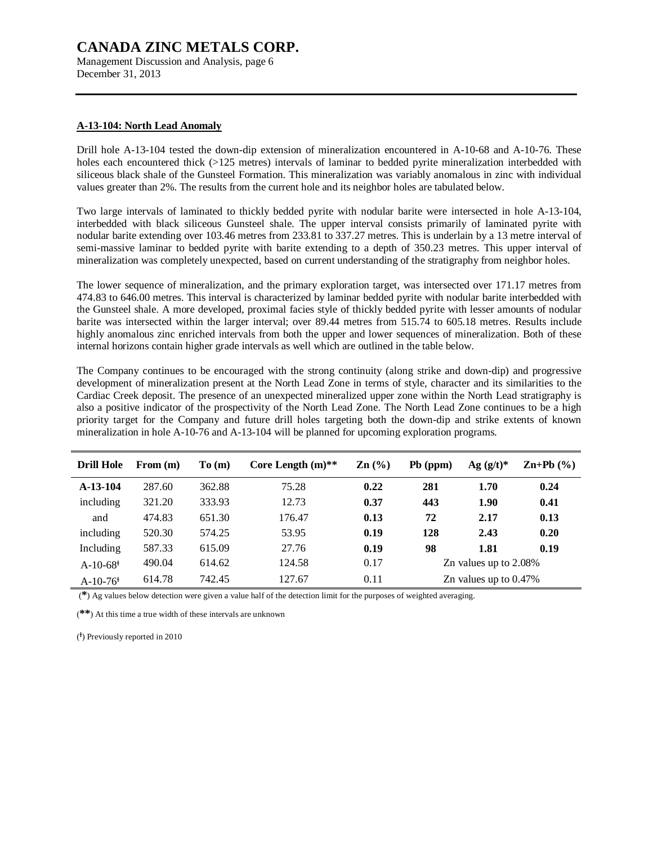Management Discussion and Analysis, page 6 December 31, 2013

#### **A-13-104: North Lead Anomaly**

Drill hole A-13-104 tested the down-dip extension of mineralization encountered in A-10-68 and A-10-76. These holes each encountered thick (>125 metres) intervals of laminar to bedded pyrite mineralization interbedded with siliceous black shale of the Gunsteel Formation. This mineralization was variably anomalous in zinc with individual values greater than 2%. The results from the current hole and its neighbor holes are tabulated below.

Two large intervals of laminated to thickly bedded pyrite with nodular barite were intersected in hole A-13-104, interbedded with black siliceous Gunsteel shale. The upper interval consists primarily of laminated pyrite with nodular barite extending over 103.46 metres from 233.81 to 337.27 metres. This is underlain by a 13 metre interval of semi-massive laminar to bedded pyrite with barite extending to a depth of 350.23 metres. This upper interval of mineralization was completely unexpected, based on current understanding of the stratigraphy from neighbor holes.

The lower sequence of mineralization, and the primary exploration target, was intersected over 171.17 metres from 474.83 to 646.00 metres. This interval is characterized by laminar bedded pyrite with nodular barite interbedded with the Gunsteel shale. A more developed, proximal facies style of thickly bedded pyrite with lesser amounts of nodular barite was intersected within the larger interval; over 89.44 metres from 515.74 to 605.18 metres. Results include highly anomalous zinc enriched intervals from both the upper and lower sequences of mineralization. Both of these internal horizons contain higher grade intervals as well which are outlined in the table below.

The Company continues to be encouraged with the strong continuity (along strike and down-dip) and progressive development of mineralization present at the North Lead Zone in terms of style, character and its similarities to the Cardiac Creek deposit. The presence of an unexpected mineralized upper zone within the North Lead stratigraphy is also a positive indicator of the prospectivity of the North Lead Zone. The North Lead Zone continues to be a high priority target for the Company and future drill holes targeting both the down-dip and strike extents of known mineralization in hole A-10-76 and A-13-104 will be planned for upcoming exploration programs.

| <b>Drill Hole</b>      | From $(m)$ | To(m)  | Core Length $(m)$ ** | $\mathbf{Zn}$ (%) | $Pb$ (ppm)               | $Ag (g/t)^*$             | $\mathbf{Zn+Pb}$ $(\frac{9}{6})$ |  |  |
|------------------------|------------|--------|----------------------|-------------------|--------------------------|--------------------------|----------------------------------|--|--|
| $A-13-104$             | 287.60     | 362.88 | 75.28                | 0.22              | 281                      | 1.70                     | 0.24                             |  |  |
| including              | 321.20     | 333.93 | 12.73                | 0.37              | 443                      | 1.90                     | 0.41                             |  |  |
| and                    | 474.83     | 651.30 | 176.47               | 0.13              | 72                       | 2.17                     | 0.13                             |  |  |
| including              | 520.30     | 574.25 | 53.95                | 0.19              | 128                      | 2.43                     | 0.20                             |  |  |
| Including              | 587.33     | 615.09 | 27.76                | 0.19              | 98                       | 1.81                     | 0.19                             |  |  |
| $A-10-68$ <sup>+</sup> | 490.04     | 614.62 | 124.58               | 0.17              |                          | Zn values up to $2.08\%$ |                                  |  |  |
| $A-10-76$ <sup>+</sup> | 614.78     | 742.45 | 127.67               | 0.11              | Zn values up to $0.47\%$ |                          |                                  |  |  |

(**\***) Ag values below detection were given a value half of the detection limit for the purposes of weighted averaging.

(**\*\***) At this time a true width of these intervals are unknown

( Ɨ ) Previously reported in 2010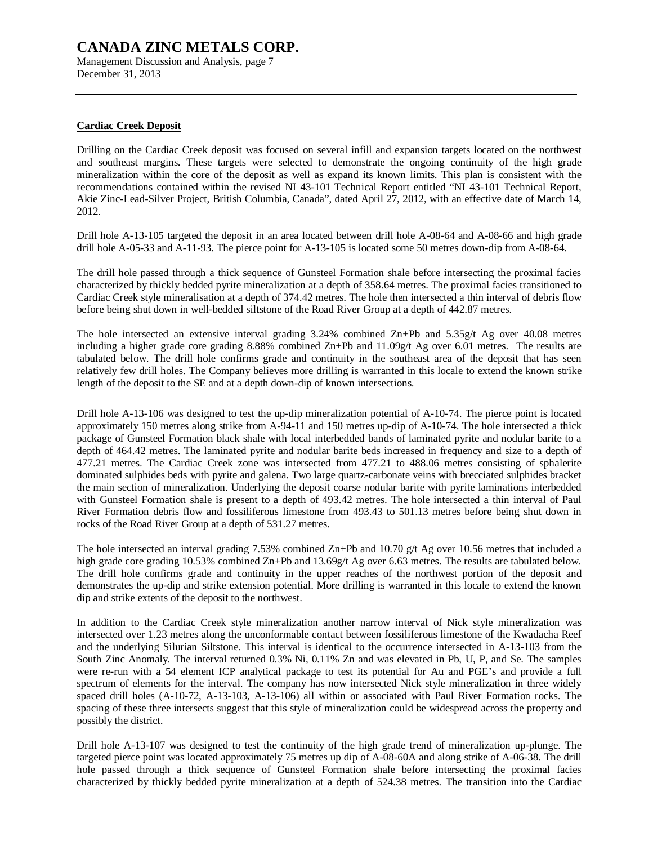Management Discussion and Analysis, page 7 December 31, 2013

#### **Cardiac Creek Deposit**

Drilling on the Cardiac Creek deposit was focused on several infill and expansion targets located on the northwest and southeast margins. These targets were selected to demonstrate the ongoing continuity of the high grade mineralization within the core of the deposit as well as expand its known limits. This plan is consistent with the recommendations contained within the revised NI 43-101 Technical Report entitled "NI 43-101 Technical Report, Akie Zinc-Lead-Silver Project, British Columbia, Canada", dated April 27, 2012, with an effective date of March 14, 2012.

Drill hole A-13-105 targeted the deposit in an area located between drill hole A-08-64 and A-08-66 and high grade drill hole A-05-33 and A-11-93. The pierce point for A-13-105 is located some 50 metres down-dip from A-08-64.

The drill hole passed through a thick sequence of Gunsteel Formation shale before intersecting the proximal facies characterized by thickly bedded pyrite mineralization at a depth of 358.64 metres. The proximal facies transitioned to Cardiac Creek style mineralisation at a depth of 374.42 metres. The hole then intersected a thin interval of debris flow before being shut down in well-bedded siltstone of the Road River Group at a depth of 442.87 metres.

The hole intersected an extensive interval grading 3.24% combined Zn+Pb and 5.35g/t Ag over 40.08 metres including a higher grade core grading 8.88% combined Zn+Pb and 11.09g/t Ag over 6.01 metres. The results are tabulated below. The drill hole confirms grade and continuity in the southeast area of the deposit that has seen relatively few drill holes. The Company believes more drilling is warranted in this locale to extend the known strike length of the deposit to the SE and at a depth down-dip of known intersections.

Drill hole A-13-106 was designed to test the up-dip mineralization potential of A-10-74. The pierce point is located approximately 150 metres along strike from A-94-11 and 150 metres up-dip of A-10-74. The hole intersected a thick package of Gunsteel Formation black shale with local interbedded bands of laminated pyrite and nodular barite to a depth of 464.42 metres. The laminated pyrite and nodular barite beds increased in frequency and size to a depth of 477.21 metres. The Cardiac Creek zone was intersected from 477.21 to 488.06 metres consisting of sphalerite dominated sulphides beds with pyrite and galena. Two large quartz-carbonate veins with brecciated sulphides bracket the main section of mineralization. Underlying the deposit coarse nodular barite with pyrite laminations interbedded with Gunsteel Formation shale is present to a depth of 493.42 metres. The hole intersected a thin interval of Paul River Formation debris flow and fossiliferous limestone from 493.43 to 501.13 metres before being shut down in rocks of the Road River Group at a depth of 531.27 metres.

The hole intersected an interval grading 7.53% combined Zn+Pb and 10.70 g/t Ag over 10.56 metres that included a high grade core grading 10.53% combined Zn+Pb and 13.69g/t Ag over 6.63 metres. The results are tabulated below. The drill hole confirms grade and continuity in the upper reaches of the northwest portion of the deposit and demonstrates the up-dip and strike extension potential. More drilling is warranted in this locale to extend the known dip and strike extents of the deposit to the northwest.

In addition to the Cardiac Creek style mineralization another narrow interval of Nick style mineralization was intersected over 1.23 metres along the unconformable contact between fossiliferous limestone of the Kwadacha Reef and the underlying Silurian Siltstone. This interval is identical to the occurrence intersected in A-13-103 from the South Zinc Anomaly. The interval returned 0.3% Ni, 0.11% Zn and was elevated in Pb, U, P, and Se. The samples were re-run with a 54 element ICP analytical package to test its potential for Au and PGE's and provide a full spectrum of elements for the interval. The company has now intersected Nick style mineralization in three widely spaced drill holes (A-10-72, A-13-103, A-13-106) all within or associated with Paul River Formation rocks. The spacing of these three intersects suggest that this style of mineralization could be widespread across the property and possibly the district.

Drill hole A-13-107 was designed to test the continuity of the high grade trend of mineralization up-plunge. The targeted pierce point was located approximately 75 metres up dip of A-08-60A and along strike of A-06-38. The drill hole passed through a thick sequence of Gunsteel Formation shale before intersecting the proximal facies characterized by thickly bedded pyrite mineralization at a depth of 524.38 metres. The transition into the Cardiac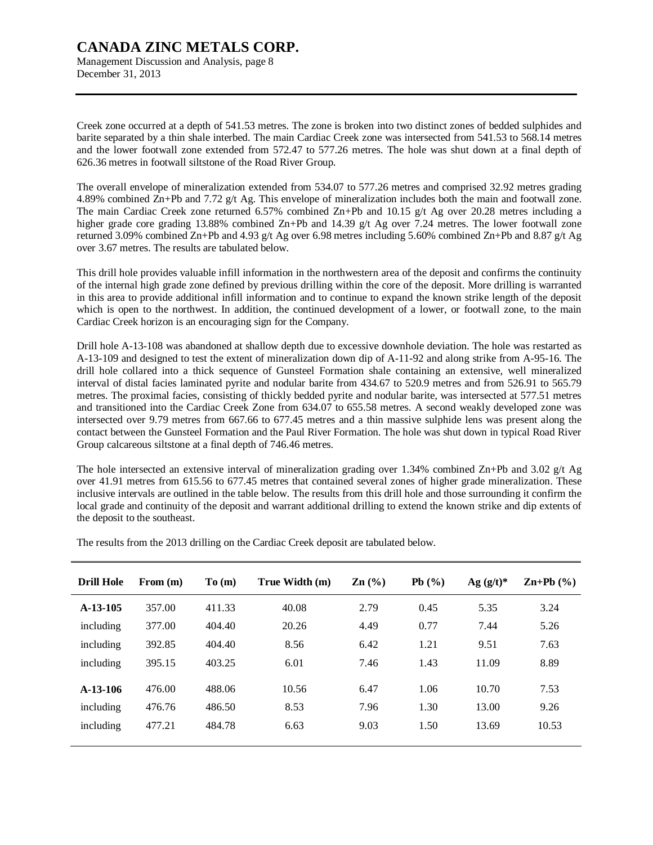Management Discussion and Analysis, page 8 December 31, 2013

Creek zone occurred at a depth of 541.53 metres. The zone is broken into two distinct zones of bedded sulphides and barite separated by a thin shale interbed. The main Cardiac Creek zone was intersected from 541.53 to 568.14 metres and the lower footwall zone extended from 572.47 to 577.26 metres. The hole was shut down at a final depth of 626.36 metres in footwall siltstone of the Road River Group.

The overall envelope of mineralization extended from 534.07 to 577.26 metres and comprised 32.92 metres grading 4.89% combined Zn+Pb and 7.72 g/t Ag. This envelope of mineralization includes both the main and footwall zone. The main Cardiac Creek zone returned 6.57% combined  $\text{Zn+Pb}$  and 10.15 g/t Ag over 20.28 metres including a higher grade core grading 13.88% combined Zn+Pb and 14.39 g/t Ag over 7.24 metres. The lower footwall zone returned 3.09% combined Zn+Pb and 4.93 g/t Ag over 6.98 metres including 5.60% combined Zn+Pb and 8.87 g/t Ag over 3.67 metres. The results are tabulated below.

This drill hole provides valuable infill information in the northwestern area of the deposit and confirms the continuity of the internal high grade zone defined by previous drilling within the core of the deposit. More drilling is warranted in this area to provide additional infill information and to continue to expand the known strike length of the deposit which is open to the northwest. In addition, the continued development of a lower, or footwall zone, to the main Cardiac Creek horizon is an encouraging sign for the Company.

Drill hole A-13-108 was abandoned at shallow depth due to excessive downhole deviation. The hole was restarted as A-13-109 and designed to test the extent of mineralization down dip of A-11-92 and along strike from A-95-16. The drill hole collared into a thick sequence of Gunsteel Formation shale containing an extensive, well mineralized interval of distal facies laminated pyrite and nodular barite from 434.67 to 520.9 metres and from 526.91 to 565.79 metres. The proximal facies, consisting of thickly bedded pyrite and nodular barite, was intersected at 577.51 metres and transitioned into the Cardiac Creek Zone from 634.07 to 655.58 metres. A second weakly developed zone was intersected over 9.79 metres from 667.66 to 677.45 metres and a thin massive sulphide lens was present along the contact between the Gunsteel Formation and the Paul River Formation. The hole was shut down in typical Road River Group calcareous siltstone at a final depth of 746.46 metres.

The hole intersected an extensive interval of mineralization grading over 1.34% combined  $\text{Zn+Pb}$  and 3.02 g/t Ag over 41.91 metres from 615.56 to 677.45 metres that contained several zones of higher grade mineralization. These inclusive intervals are outlined in the table below. The results from this drill hole and those surrounding it confirm the local grade and continuity of the deposit and warrant additional drilling to extend the known strike and dip extents of the deposit to the southeast.

| <b>Drill Hole</b> | From $(m)$ | To(m)  | True Width (m) | $\mathbf{Zn}$ (%) | Pb(%) | $Ag (g/t)^*$ | $\mathbf{Zn} + \mathbf{Pb}$ (%) |
|-------------------|------------|--------|----------------|-------------------|-------|--------------|---------------------------------|
| $A-13-105$        | 357.00     | 411.33 | 40.08          | 2.79              | 0.45  | 5.35         | 3.24                            |
| including         | 377.00     | 404.40 | 20.26          | 4.49              | 0.77  | 7.44         | 5.26                            |
| including         | 392.85     | 404.40 | 8.56           | 6.42              | 1.21  | 9.51         | 7.63                            |
| including         | 395.15     | 403.25 | 6.01           | 7.46              | 1.43  | 11.09        | 8.89                            |
| $A-13-106$        | 476.00     | 488.06 | 10.56          | 6.47              | 1.06  | 10.70        | 7.53                            |
| including         | 476.76     | 486.50 | 8.53           | 7.96              | 1.30  | 13.00        | 9.26                            |
| including         | 477.21     | 484.78 | 6.63           | 9.03              | 1.50  | 13.69        | 10.53                           |

The results from the 2013 drilling on the Cardiac Creek deposit are tabulated below.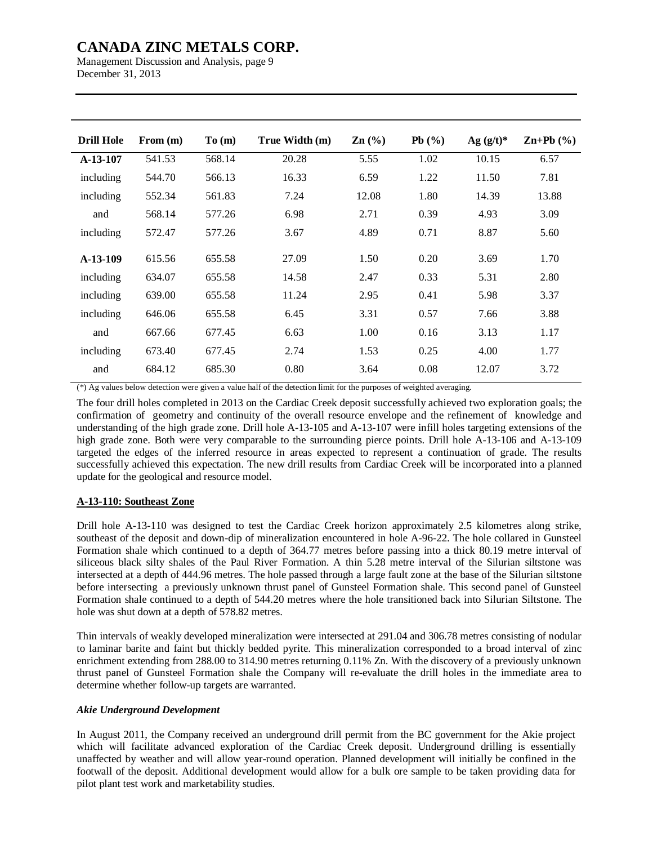Management Discussion and Analysis, page 9 December 31, 2013

| <b>Drill Hole</b> | From $(m)$ | To(m)  | True Width (m) | $\mathbf{Zn}$ (%) | Pb(%) | Ag $(g/t)^*$ | $\mathbf{Zn+Pb}$ $(\% )$ |
|-------------------|------------|--------|----------------|-------------------|-------|--------------|--------------------------|
| $A-13-107$        | 541.53     | 568.14 | 20.28          | 5.55              | 1.02  | 10.15        | 6.57                     |
| including         | 544.70     | 566.13 | 16.33          | 6.59              | 1.22  | 11.50        | 7.81                     |
| including         | 552.34     | 561.83 | 7.24           | 12.08             | 1.80  | 14.39        | 13.88                    |
| and               | 568.14     | 577.26 | 6.98           | 2.71              | 0.39  | 4.93         | 3.09                     |
| including         | 572.47     | 577.26 | 3.67           | 4.89              | 0.71  | 8.87         | 5.60                     |
| $A-13-109$        | 615.56     | 655.58 | 27.09          | 1.50              | 0.20  | 3.69         | 1.70                     |
| including         | 634.07     | 655.58 | 14.58          | 2.47              | 0.33  | 5.31         | 2.80                     |
| including         | 639.00     | 655.58 | 11.24          | 2.95              | 0.41  | 5.98         | 3.37                     |
| including         | 646.06     | 655.58 | 6.45           | 3.31              | 0.57  | 7.66         | 3.88                     |
| and               | 667.66     | 677.45 | 6.63           | 1.00              | 0.16  | 3.13         | 1.17                     |
| including         | 673.40     | 677.45 | 2.74           | 1.53              | 0.25  | 4.00         | 1.77                     |
| and               | 684.12     | 685.30 | 0.80           | 3.64              | 0.08  | 12.07        | 3.72                     |

(\*) Ag values below detection were given a value half of the detection limit for the purposes of weighted averaging.

The four drill holes completed in 2013 on the Cardiac Creek deposit successfully achieved two exploration goals; the confirmation of geometry and continuity of the overall resource envelope and the refinement of knowledge and understanding of the high grade zone. Drill hole A-13-105 and A-13-107 were infill holes targeting extensions of the high grade zone. Both were very comparable to the surrounding pierce points. Drill hole A-13-106 and A-13-109 targeted the edges of the inferred resource in areas expected to represent a continuation of grade. The results successfully achieved this expectation. The new drill results from Cardiac Creek will be incorporated into a planned update for the geological and resource model.

## **A-13-110: Southeast Zone**

Drill hole A-13-110 was designed to test the Cardiac Creek horizon approximately 2.5 kilometres along strike, southeast of the deposit and down-dip of mineralization encountered in hole A-96-22. The hole collared in Gunsteel Formation shale which continued to a depth of 364.77 metres before passing into a thick 80.19 metre interval of siliceous black silty shales of the Paul River Formation. A thin 5.28 metre interval of the Silurian siltstone was intersected at a depth of 444.96 metres. The hole passed through a large fault zone at the base of the Silurian siltstone before intersecting a previously unknown thrust panel of Gunsteel Formation shale. This second panel of Gunsteel Formation shale continued to a depth of 544.20 metres where the hole transitioned back into Silurian Siltstone. The hole was shut down at a depth of 578.82 metres.

Thin intervals of weakly developed mineralization were intersected at 291.04 and 306.78 metres consisting of nodular to laminar barite and faint but thickly bedded pyrite. This mineralization corresponded to a broad interval of zinc enrichment extending from 288.00 to 314.90 metres returning 0.11% Zn. With the discovery of a previously unknown thrust panel of Gunsteel Formation shale the Company will re-evaluate the drill holes in the immediate area to determine whether follow-up targets are warranted.

#### *Akie Underground Development*

In August 2011, the Company received an underground drill permit from the BC government for the Akie project which will facilitate advanced exploration of the Cardiac Creek deposit. Underground drilling is essentially unaffected by weather and will allow year-round operation. Planned development will initially be confined in the footwall of the deposit. Additional development would allow for a bulk ore sample to be taken providing data for pilot plant test work and marketability studies.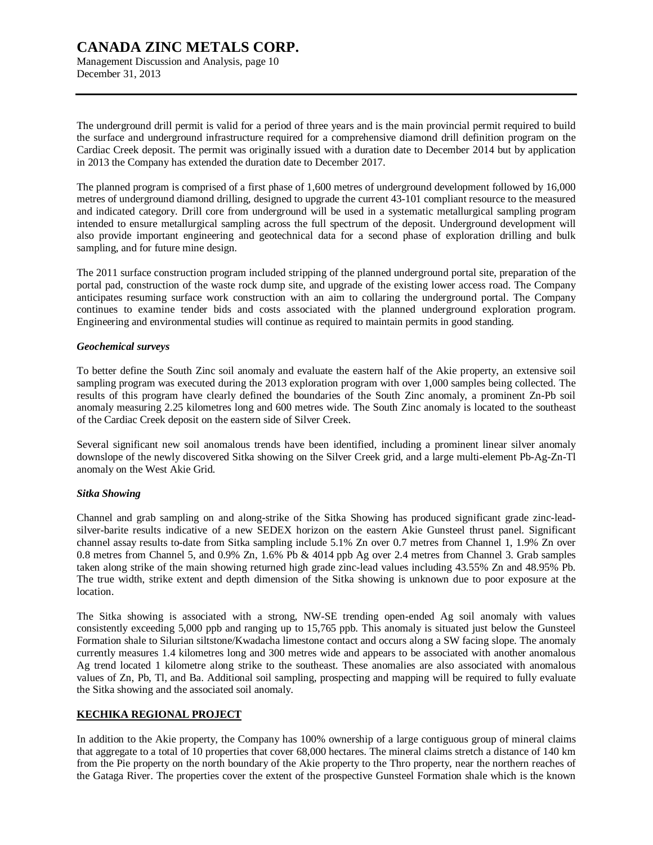Management Discussion and Analysis, page 10 December 31, 2013

The underground drill permit is valid for a period of three years and is the main provincial permit required to build the surface and underground infrastructure required for a comprehensive diamond drill definition program on the Cardiac Creek deposit. The permit was originally issued with a duration date to December 2014 but by application in 2013 the Company has extended the duration date to December 2017.

The planned program is comprised of a first phase of 1,600 metres of underground development followed by 16,000 metres of underground diamond drilling, designed to upgrade the current 43-101 compliant resource to the measured and indicated category. Drill core from underground will be used in a systematic metallurgical sampling program intended to ensure metallurgical sampling across the full spectrum of the deposit. Underground development will also provide important engineering and geotechnical data for a second phase of exploration drilling and bulk sampling, and for future mine design.

The 2011 surface construction program included stripping of the planned underground portal site, preparation of the portal pad, construction of the waste rock dump site, and upgrade of the existing lower access road. The Company anticipates resuming surface work construction with an aim to collaring the underground portal. The Company continues to examine tender bids and costs associated with the planned underground exploration program. Engineering and environmental studies will continue as required to maintain permits in good standing.

#### *Geochemical surveys*

To better define the South Zinc soil anomaly and evaluate the eastern half of the Akie property, an extensive soil sampling program was executed during the 2013 exploration program with over 1,000 samples being collected. The results of this program have clearly defined the boundaries of the South Zinc anomaly, a prominent Zn-Pb soil anomaly measuring 2.25 kilometres long and 600 metres wide. The South Zinc anomaly is located to the southeast of the Cardiac Creek deposit on the eastern side of Silver Creek.

Several significant new soil anomalous trends have been identified, including a prominent linear silver anomaly downslope of the newly discovered Sitka showing on the Silver Creek grid, and a large multi-element Pb-Ag-Zn-Tl anomaly on the West Akie Grid.

#### *Sitka Showing*

Channel and grab sampling on and along-strike of the Sitka Showing has produced significant grade zinc-leadsilver-barite results indicative of a new SEDEX horizon on the eastern Akie Gunsteel thrust panel. Significant channel assay results to-date from Sitka sampling include 5.1% Zn over 0.7 metres from Channel 1, 1.9% Zn over 0.8 metres from Channel 5, and 0.9% Zn, 1.6% Pb & 4014 ppb Ag over 2.4 metres from Channel 3. Grab samples taken along strike of the main showing returned high grade zinc-lead values including 43.55% Zn and 48.95% Pb. The true width, strike extent and depth dimension of the Sitka showing is unknown due to poor exposure at the location.

The Sitka showing is associated with a strong, NW-SE trending open-ended Ag soil anomaly with values consistently exceeding 5,000 ppb and ranging up to 15,765 ppb. This anomaly is situated just below the Gunsteel Formation shale to Silurian siltstone/Kwadacha limestone contact and occurs along a SW facing slope. The anomaly currently measures 1.4 kilometres long and 300 metres wide and appears to be associated with another anomalous Ag trend located 1 kilometre along strike to the southeast. These anomalies are also associated with anomalous values of Zn, Pb, Tl, and Ba. Additional soil sampling, prospecting and mapping will be required to fully evaluate the Sitka showing and the associated soil anomaly.

#### **KECHIKA REGIONAL PROJECT**

In addition to the Akie property, the Company has 100% ownership of a large contiguous group of mineral claims that aggregate to a total of 10 properties that cover 68,000 hectares. The mineral claims stretch a distance of 140 km from the Pie property on the north boundary of the Akie property to the Thro property, near the northern reaches of the Gataga River. The properties cover the extent of the prospective Gunsteel Formation shale which is the known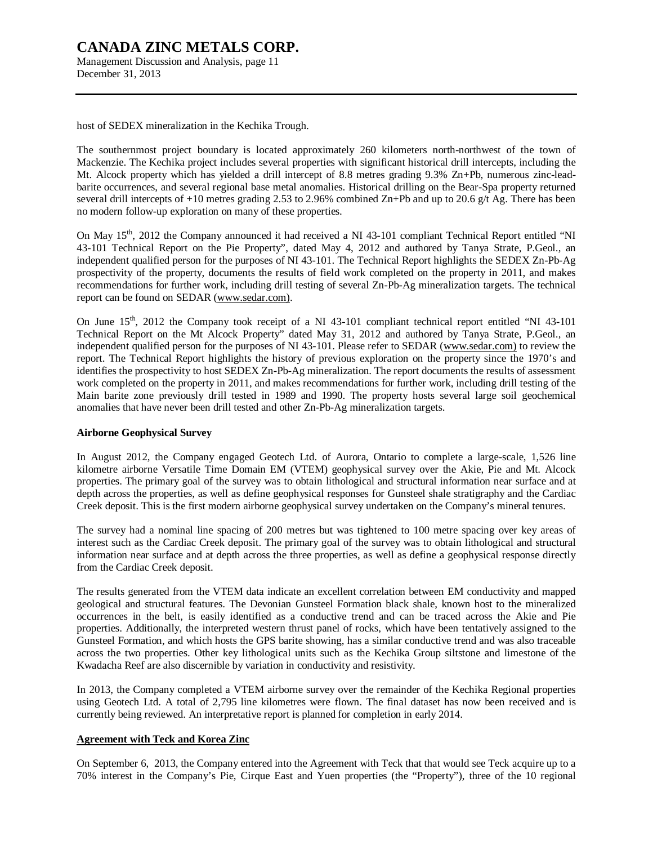## **CANADA ZINC METALS CORP.**  Management Discussion and Analysis, page 11

December 31, 2013

host of SEDEX mineralization in the Kechika Trough.

The southernmost project boundary is located approximately 260 kilometers north-northwest of the town of Mackenzie. The Kechika project includes several properties with significant historical drill intercepts, including the Mt. Alcock property which has yielded a drill intercept of 8.8 metres grading 9.3% Zn+Pb, numerous zinc-leadbarite occurrences, and several regional base metal anomalies. Historical drilling on the Bear-Spa property returned several drill intercepts of  $+10$  metres grading 2.53 to 2.96% combined Zn+Pb and up to 20.6 g/t Ag. There has been no modern follow-up exploration on many of these properties.

On May 15<sup>th</sup>, 2012 the Company announced it had received a NI 43-101 compliant Technical Report entitled "NI 43-101 Technical Report on the Pie Property", dated May 4, 2012 and authored by Tanya Strate, P.Geol., an independent qualified person for the purposes of NI 43-101. The Technical Report highlights the SEDEX Zn-Pb-Ag prospectivity of the property, documents the results of field work completed on the property in 2011, and makes recommendations for further work, including drill testing of several Zn-Pb-Ag mineralization targets. The technical report can be found on SEDAR ([www.sedar.com\).](http://www.sedar.com))

On June 15<sup>th</sup>, 2012 the Company took receipt of a NI 43-101 compliant technical report entitled "NI 43-101" Technical Report on the Mt Alcock Property" dated May 31, 2012 and authored by Tanya Strate, P.Geol., an independent qualified person for the purposes of NI 43-101. Please refer to SEDAR ([www.sedar.com\)](http://www.sedar.com)) to review the report. The Technical Report highlights the history of previous exploration on the property since the 1970's and identifies the prospectivity to host SEDEX Zn-Pb-Ag mineralization. The report documents the results of assessment work completed on the property in 2011, and makes recommendations for further work, including drill testing of the Main barite zone previously drill tested in 1989 and 1990. The property hosts several large soil geochemical anomalies that have never been drill tested and other Zn-Pb-Ag mineralization targets.

#### **Airborne Geophysical Survey**

In August 2012, the Company engaged Geotech Ltd. of Aurora, Ontario to complete a large-scale, 1,526 line kilometre airborne Versatile Time Domain EM (VTEM) geophysical survey over the Akie, Pie and Mt. Alcock properties. The primary goal of the survey was to obtain lithological and structural information near surface and at depth across the properties, as well as define geophysical responses for Gunsteel shale stratigraphy and the Cardiac Creek deposit. This is the first modern airborne geophysical survey undertaken on the Company's mineral tenures.

The survey had a nominal line spacing of 200 metres but was tightened to 100 metre spacing over key areas of interest such as the Cardiac Creek deposit. The primary goal of the survey was to obtain lithological and structural information near surface and at depth across the three properties, as well as define a geophysical response directly from the Cardiac Creek deposit.

The results generated from the VTEM data indicate an excellent correlation between EM conductivity and mapped geological and structural features. The Devonian Gunsteel Formation black shale, known host to the mineralized occurrences in the belt, is easily identified as a conductive trend and can be traced across the Akie and Pie properties. Additionally, the interpreted western thrust panel of rocks, which have been tentatively assigned to the Gunsteel Formation, and which hosts the GPS barite showing, has a similar conductive trend and was also traceable across the two properties. Other key lithological units such as the Kechika Group siltstone and limestone of the Kwadacha Reef are also discernible by variation in conductivity and resistivity.

In 2013, the Company completed a VTEM airborne survey over the remainder of the Kechika Regional properties using Geotech Ltd. A total of 2,795 line kilometres were flown. The final dataset has now been received and is currently being reviewed. An interpretative report is planned for completion in early 2014.

#### **Agreement with Teck and Korea Zinc**

On September 6, 2013, the Company entered into the Agreement with Teck that that would see Teck acquire up to a 70% interest in the Company's Pie, Cirque East and Yuen properties (the "Property"), three of the 10 regional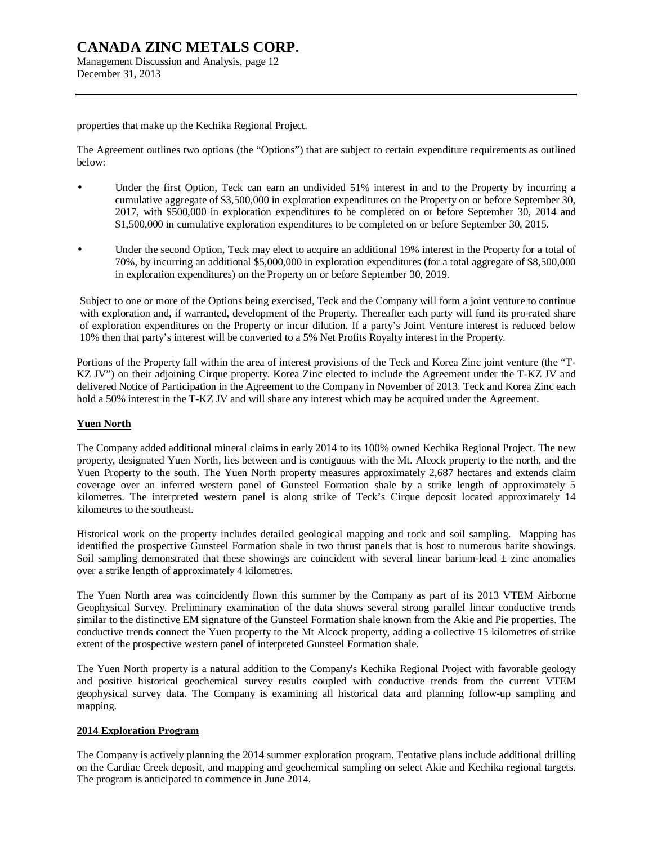Management Discussion and Analysis, page 12 December 31, 2013

properties that make up the Kechika Regional Project.

The Agreement outlines two options (the "Options") that are subject to certain expenditure requirements as outlined below:

- Under the first Option, Teck can earn an undivided 51% interest in and to the Property by incurring a cumulative aggregate of \$3,500,000 in exploration expenditures on the Property on or before September 30, 2017, with \$500,000 in exploration expenditures to be completed on or before September 30, 2014 and \$1,500,000 in cumulative exploration expenditures to be completed on or before September 30, 2015.
- Under the second Option, Teck may elect to acquire an additional 19% interest in the Property for a total of 70%, by incurring an additional \$5,000,000 in exploration expenditures (for a total aggregate of \$8,500,000 in exploration expenditures) on the Property on or before September 30, 2019.

Subject to one or more of the Options being exercised, Teck and the Company will form a joint venture to continue with exploration and, if warranted, development of the Property. Thereafter each party will fund its pro-rated share of exploration expenditures on the Property or incur dilution. If a party's Joint Venture interest is reduced below 10% then that party's interest will be converted to a 5% Net Profits Royalty interest in the Property.

Portions of the Property fall within the area of interest provisions of the Teck and Korea Zinc joint venture (the "T-KZ JV") on their adjoining Cirque property. Korea Zinc elected to include the Agreement under the T-KZ JV and delivered Notice of Participation in the Agreement to the Company in November of 2013. Teck and Korea Zinc each hold a 50% interest in the T-KZ JV and will share any interest which may be acquired under the Agreement.

#### **Yuen North**

The Company added additional mineral claims in early 2014 to its 100% owned Kechika Regional Project. The new property, designated Yuen North, lies between and is contiguous with the Mt. Alcock property to the north, and the Yuen Property to the south. The Yuen North property measures approximately 2,687 hectares and extends claim coverage over an inferred western panel of Gunsteel Formation shale by a strike length of approximately 5 kilometres. The interpreted western panel is along strike of Teck's Cirque deposit located approximately 14 kilometres to the southeast.

Historical work on the property includes detailed geological mapping and rock and soil sampling. Mapping has identified the prospective Gunsteel Formation shale in two thrust panels that is host to numerous barite showings. Soil sampling demonstrated that these showings are coincident with several linear barium-lead  $\pm$  zinc anomalies over a strike length of approximately 4 kilometres.

The Yuen North area was coincidently flown this summer by the Company as part of its 2013 VTEM Airborne Geophysical Survey. Preliminary examination of the data shows several strong parallel linear conductive trends similar to the distinctive EM signature of the Gunsteel Formation shale known from the Akie and Pie properties. The conductive trends connect the Yuen property to the Mt Alcock property, adding a collective 15 kilometres of strike extent of the prospective western panel of interpreted Gunsteel Formation shale.

The Yuen North property is a natural addition to the Company's Kechika Regional Project with favorable geology and positive historical geochemical survey results coupled with conductive trends from the current VTEM geophysical survey data. The Company is examining all historical data and planning follow-up sampling and mapping.

#### **2014 Exploration Program**

The Company is actively planning the 2014 summer exploration program. Tentative plans include additional drilling on the Cardiac Creek deposit, and mapping and geochemical sampling on select Akie and Kechika regional targets. The program is anticipated to commence in June 2014.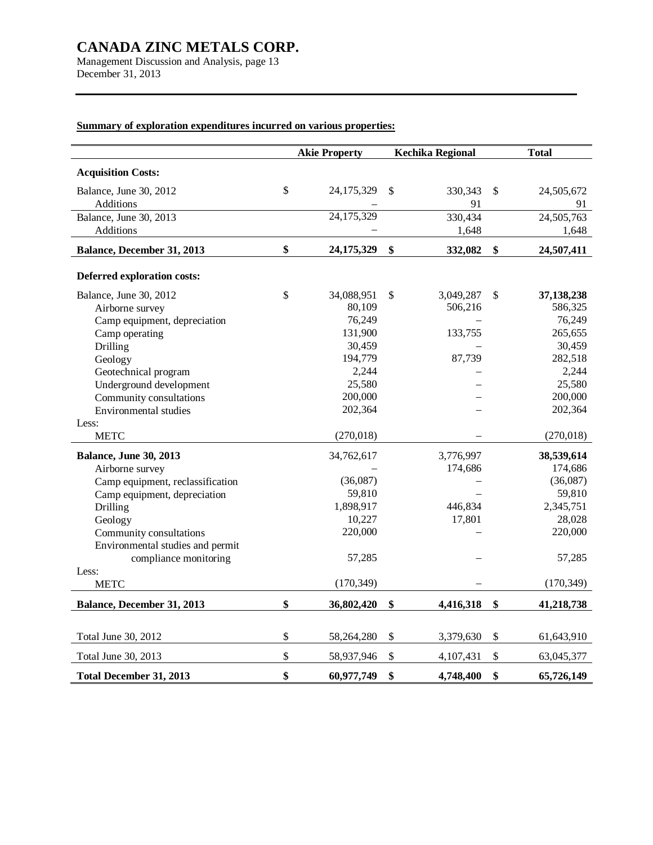Management Discussion and Analysis, page 13 December 31, 2013

## **Summary of exploration expenditures incurred on various properties:**

|                                    |              | <b>Akie Property</b> |                   | <b>Kechika Regional</b> |               | <b>Total</b> |
|------------------------------------|--------------|----------------------|-------------------|-------------------------|---------------|--------------|
| <b>Acquisition Costs:</b>          |              |                      |                   |                         |               |              |
| Balance, June 30, 2012             | $\mathbb{S}$ | 24,175,329           | \$                | 330,343                 | $\mathbb{S}$  | 24,505,672   |
| Additions                          |              |                      |                   | 91                      |               | 91           |
| Balance, June 30, 2013             |              | 24,175,329           |                   | 330,434                 |               | 24,505,763   |
| Additions                          |              |                      |                   | 1,648                   |               | 1,648        |
| Balance, December 31, 2013         | \$           | 24,175,329           | $\boldsymbol{\$}$ | 332,082                 | \$            | 24,507,411   |
| <b>Deferred exploration costs:</b> |              |                      |                   |                         |               |              |
| Balance, June 30, 2012             | $\mathbb{S}$ | 34,088,951           | \$                | 3,049,287               | <sup>\$</sup> | 37,138,238   |
| Airborne survey                    |              | 80,109               |                   | 506,216                 |               | 586,325      |
| Camp equipment, depreciation       |              | 76,249               |                   |                         |               | 76,249       |
| Camp operating                     |              | 131,900              |                   | 133,755                 |               | 265,655      |
| Drilling                           |              | 30,459               |                   |                         |               | 30,459       |
| Geology                            |              | 194,779              |                   | 87,739                  |               | 282,518      |
| Geotechnical program               |              | 2,244                |                   |                         |               | 2,244        |
| Underground development            |              | 25,580               |                   |                         |               | 25,580       |
| Community consultations            |              | 200,000              |                   |                         |               | 200,000      |
| <b>Environmental studies</b>       |              | 202,364              |                   |                         |               | 202,364      |
| Less:                              |              |                      |                   |                         |               |              |
| <b>METC</b>                        |              | (270, 018)           |                   |                         |               | (270, 018)   |
| <b>Balance, June 30, 2013</b>      |              | 34,762,617           |                   | 3,776,997               |               | 38,539,614   |
| Airborne survey                    |              |                      |                   | 174,686                 |               | 174,686      |
| Camp equipment, reclassification   |              | (36,087)             |                   |                         |               | (36,087)     |
| Camp equipment, depreciation       |              | 59,810               |                   |                         |               | 59,810       |
| Drilling                           |              | 1,898,917            |                   | 446,834                 |               | 2,345,751    |
| Geology                            |              | 10,227               |                   | 17,801                  |               | 28,028       |
| Community consultations            |              | 220,000              |                   |                         |               | 220,000      |
| Environmental studies and permit   |              |                      |                   |                         |               |              |
| compliance monitoring              |              | 57,285               |                   |                         |               | 57,285       |
| Less:<br><b>METC</b>               |              | (170, 349)           |                   |                         |               | (170, 349)   |
| Balance, December 31, 2013         | \$           | 36,802,420           | \$                | 4,416,318               | \$            | 41,218,738   |
|                                    |              |                      |                   |                         |               |              |
| Total June 30, 2012                | \$           | 58,264,280           | \$                | 3,379,630               | \$            | 61,643,910   |
| Total June 30, 2013                | $\mathbb{S}$ | 58,937,946           | \$                | 4,107,431               | $\mathbb{S}$  | 63,045,377   |
| Total December 31, 2013            | \$           | 60,977,749           | \$                | 4,748,400               | \$            | 65,726,149   |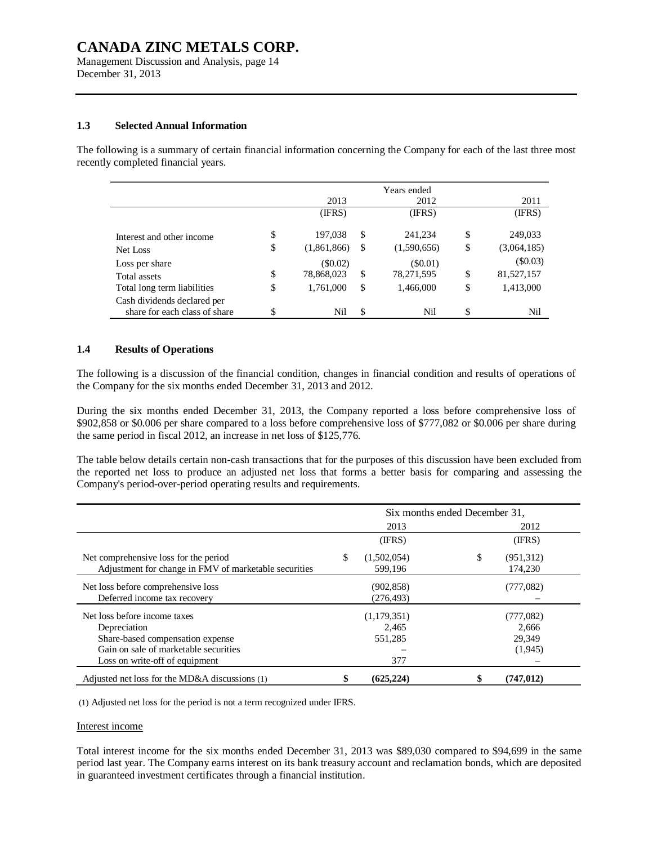Management Discussion and Analysis, page 14 December 31, 2013

#### **1.3 Selected Annual Information**

The following is a summary of certain financial information concerning the Company for each of the last three most recently completed financial years.

|                                                              |                   |    | Years ended |    |             |
|--------------------------------------------------------------|-------------------|----|-------------|----|-------------|
|                                                              | 2013              |    | 2012        |    | 2011        |
|                                                              | (IFRS)            |    | (IFRS)      |    | (IFRS)      |
| Interest and other income                                    | \$<br>197,038     | S. | 241,234     | S  | 249,033     |
| Net Loss                                                     | \$<br>(1,861,866) | S  | (1,590,656) | \$ | (3,064,185) |
| Loss per share                                               | (\$0.02)          |    | (S0.01)     |    | $(\$0.03)$  |
| Total assets                                                 | \$<br>78,868,023  | \$ | 78,271,595  | \$ | 81,527,157  |
| Total long term liabilities                                  | \$<br>1,761,000   | \$ | 1,466,000   | \$ | 1,413,000   |
| Cash dividends declared per<br>share for each class of share | \$<br>Nil         | \$ | Nil         | S  | Nil         |

#### **1.4 Results of Operations**

The following is a discussion of the financial condition, changes in financial condition and results of operations of the Company for the six months ended December 31, 2013 and 2012.

During the six months ended December 31, 2013, the Company reported a loss before comprehensive loss of \$902,858 or \$0.006 per share compared to a loss before comprehensive loss of \$777,082 or \$0.006 per share during the same period in fiscal 2012, an increase in net loss of \$125,776.

The table below details certain non-cash transactions that for the purposes of this discussion have been excluded from the reported net loss to produce an adjusted net loss that forms a better basis for comparing and assessing the Company's period-over-period operating results and requirements.

|                                                       | Six months ended December 31, |             |    |            |  |  |  |
|-------------------------------------------------------|-------------------------------|-------------|----|------------|--|--|--|
|                                                       |                               | 2013        |    | 2012       |  |  |  |
|                                                       |                               | (IFRS)      |    | (IFRS)     |  |  |  |
| Net comprehensive loss for the period                 | \$                            | (1,502,054) | \$ | (951, 312) |  |  |  |
| Adjustment for change in FMV of marketable securities |                               | 599.196     |    | 174.230    |  |  |  |
| Net loss before comprehensive loss                    |                               | (902, 858)  |    | (777,082)  |  |  |  |
| Deferred income tax recovery                          |                               | (276, 493)  |    |            |  |  |  |
| Net loss before income taxes                          |                               | (1,179,351) |    | (777,082)  |  |  |  |
| Depreciation                                          |                               | 2.465       |    | 2.666      |  |  |  |
| Share-based compensation expense                      |                               | 551,285     |    | 29.349     |  |  |  |
| Gain on sale of marketable securities                 |                               |             |    | (1,945)    |  |  |  |
| Loss on write-off of equipment                        |                               | 377         |    |            |  |  |  |
| Adjusted net loss for the MD&A discussions $(1)$      |                               | (625, 224)  |    | (747, 012) |  |  |  |

(1) Adjusted net loss for the period is not a term recognized under IFRS.

#### Interest income

Total interest income for the six months ended December 31, 2013 was \$89,030 compared to \$94,699 in the same period last year. The Company earns interest on its bank treasury account and reclamation bonds, which are deposited in guaranteed investment certificates through a financial institution.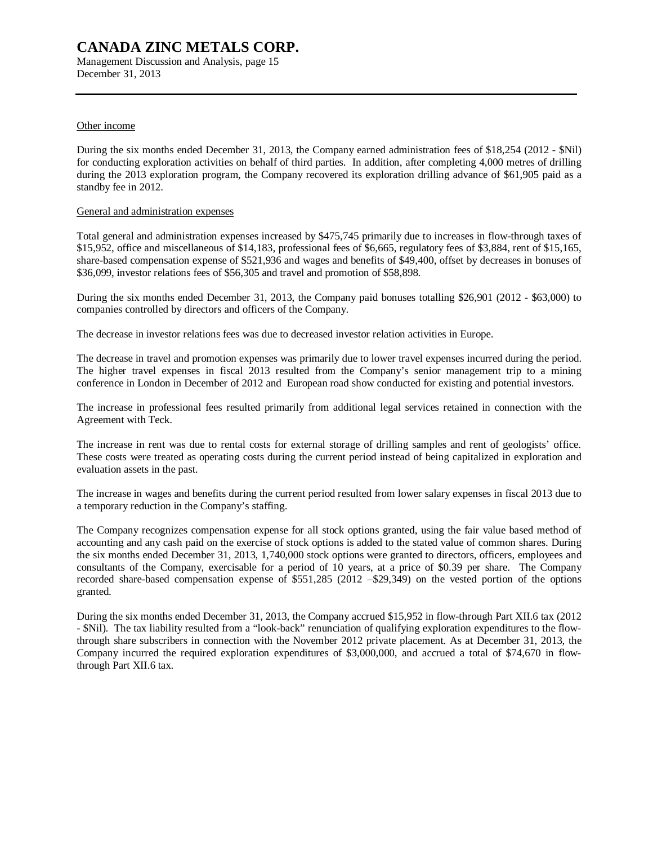Management Discussion and Analysis, page 15 December 31, 2013

#### Other income

During the six months ended December 31, 2013, the Company earned administration fees of \$18,254 (2012 - \$Nil) for conducting exploration activities on behalf of third parties. In addition, after completing 4,000 metres of drilling during the 2013 exploration program, the Company recovered its exploration drilling advance of \$61,905 paid as a standby fee in 2012.

#### General and administration expenses

Total general and administration expenses increased by \$475,745 primarily due to increases in flow-through taxes of \$15,952, office and miscellaneous of \$14,183, professional fees of \$6,665, regulatory fees of \$3,884, rent of \$15,165, share-based compensation expense of \$521,936 and wages and benefits of \$49,400, offset by decreases in bonuses of \$36,099, investor relations fees of \$56,305 and travel and promotion of \$58,898.

During the six months ended December 31, 2013, the Company paid bonuses totalling \$26,901 (2012 - \$63,000) to companies controlled by directors and officers of the Company.

The decrease in investor relations fees was due to decreased investor relation activities in Europe.

The decrease in travel and promotion expenses was primarily due to lower travel expenses incurred during the period. The higher travel expenses in fiscal 2013 resulted from the Company's senior management trip to a mining conference in London in December of 2012 and European road show conducted for existing and potential investors.

The increase in professional fees resulted primarily from additional legal services retained in connection with the Agreement with Teck.

The increase in rent was due to rental costs for external storage of drilling samples and rent of geologists' office. These costs were treated as operating costs during the current period instead of being capitalized in exploration and evaluation assets in the past.

The increase in wages and benefits during the current period resulted from lower salary expenses in fiscal 2013 due to a temporary reduction in the Company's staffing.

The Company recognizes compensation expense for all stock options granted, using the fair value based method of accounting and any cash paid on the exercise of stock options is added to the stated value of common shares. During the six months ended December 31, 2013, 1,740,000 stock options were granted to directors, officers, employees and consultants of the Company, exercisable for a period of 10 years, at a price of \$0.39 per share. The Company recorded share-based compensation expense of \$551,285 (2012 –\$29,349) on the vested portion of the options granted.

During the six months ended December 31, 2013, the Company accrued \$15,952 in flow-through Part XII.6 tax (2012 - \$Nil). The tax liability resulted from a "look-back" renunciation of qualifying exploration expenditures to the flowthrough share subscribers in connection with the November 2012 private placement. As at December 31, 2013, the Company incurred the required exploration expenditures of \$3,000,000, and accrued a total of \$74,670 in flowthrough Part XII.6 tax.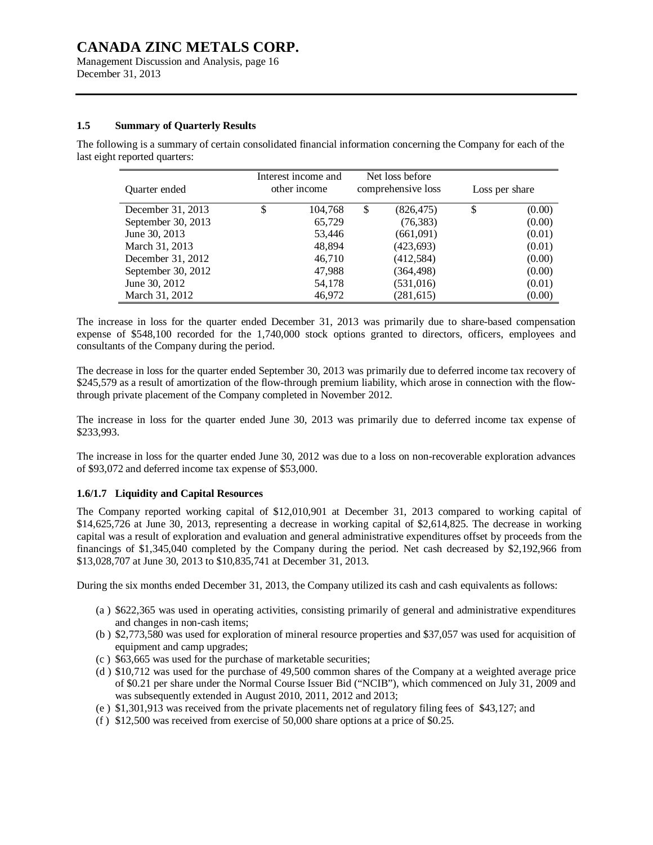Management Discussion and Analysis, page 16 December 31, 2013

#### **1.5 Summary of Quarterly Results**

The following is a summary of certain consolidated financial information concerning the Company for each of the last eight reported quarters:

| Quarter ended      | Interest income and<br>other income | Net loss before<br>comprehensive loss |   | Loss per share |
|--------------------|-------------------------------------|---------------------------------------|---|----------------|
| December 31, 2013  | \$<br>104,768                       | \$<br>(826, 475)                      | S | (0.00)         |
| September 30, 2013 | 65,729                              | (76, 383)                             |   | (0.00)         |
| June 30, 2013      | 53,446                              | (661,091)                             |   | (0.01)         |
| March 31, 2013     | 48,894                              | (423, 693)                            |   | (0.01)         |
| December 31, 2012  | 46,710                              | (412,584)                             |   | (0.00)         |
| September 30, 2012 | 47,988                              | (364, 498)                            |   | (0.00)         |
| June 30, 2012      | 54,178                              | (531, 016)                            |   | (0.01)         |
| March 31, 2012     | 46,972                              | (281, 615)                            |   | (0.00)         |

The increase in loss for the quarter ended December 31, 2013 was primarily due to share-based compensation expense of \$548,100 recorded for the 1,740,000 stock options granted to directors, officers, employees and consultants of the Company during the period.

The decrease in loss for the quarter ended September 30, 2013 was primarily due to deferred income tax recovery of \$245,579 as a result of amortization of the flow-through premium liability, which arose in connection with the flowthrough private placement of the Company completed in November 2012.

The increase in loss for the quarter ended June 30, 2013 was primarily due to deferred income tax expense of \$233,993.

The increase in loss for the quarter ended June 30, 2012 was due to a loss on non-recoverable exploration advances of \$93,072 and deferred income tax expense of \$53,000.

#### **1.6/1.7 Liquidity and Capital Resources**

The Company reported working capital of \$12,010,901 at December 31, 2013 compared to working capital of \$14,625,726 at June 30, 2013, representing a decrease in working capital of \$2,614,825. The decrease in working capital was a result of exploration and evaluation and general administrative expenditures offset by proceeds from the financings of \$1,345,040 completed by the Company during the period. Net cash decreased by \$2,192,966 from \$13,028,707 at June 30, 2013 to \$10,835,741 at December 31, 2013.

During the six months ended December 31, 2013, the Company utilized its cash and cash equivalents as follows:

- (a ) \$622,365 was used in operating activities, consisting primarily of general and administrative expenditures and changes in non-cash items;
- (b ) \$2,773,580 was used for exploration of mineral resource properties and \$37,057 was used for acquisition of equipment and camp upgrades;
- (c ) \$63,665 was used for the purchase of marketable securities;
- (d ) \$10,712 was used for the purchase of 49,500 common shares of the Company at a weighted average price of \$0.21 per share under the Normal Course Issuer Bid ("NCIB"), which commenced on July 31, 2009 and was subsequently extended in August 2010, 2011, 2012 and 2013;
- (e ) \$1,301,913 was received from the private placements net of regulatory filing fees of \$43,127; and
- (f ) \$12,500 was received from exercise of 50,000 share options at a price of \$0.25.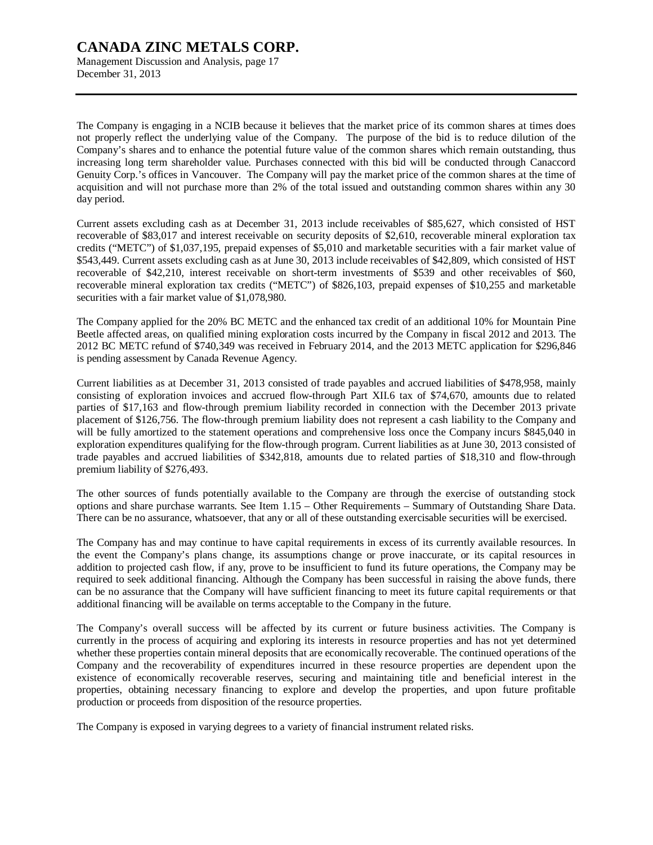Management Discussion and Analysis, page 17 December 31, 2013

The Company is engaging in a NCIB because it believes that the market price of its common shares at times does not properly reflect the underlying value of the Company. The purpose of the bid is to reduce dilution of the Company's shares and to enhance the potential future value of the common shares which remain outstanding, thus increasing long term shareholder value. Purchases connected with this bid will be conducted through Canaccord Genuity Corp.'s offices in Vancouver. The Company will pay the market price of the common shares at the time of acquisition and will not purchase more than 2% of the total issued and outstanding common shares within any 30 day period.

Current assets excluding cash as at December 31, 2013 include receivables of \$85,627, which consisted of HST recoverable of \$83,017 and interest receivable on security deposits of \$2,610, recoverable mineral exploration tax credits ("METC") of \$1,037,195, prepaid expenses of \$5,010 and marketable securities with a fair market value of \$543,449. Current assets excluding cash as at June 30, 2013 include receivables of \$42,809, which consisted of HST recoverable of \$42,210, interest receivable on short-term investments of \$539 and other receivables of \$60, recoverable mineral exploration tax credits ("METC") of \$826,103, prepaid expenses of \$10,255 and marketable securities with a fair market value of \$1,078,980.

The Company applied for the 20% BC METC and the enhanced tax credit of an additional 10% for Mountain Pine Beetle affected areas, on qualified mining exploration costs incurred by the Company in fiscal 2012 and 2013. The 2012 BC METC refund of \$740,349 was received in February 2014, and the 2013 METC application for \$296,846 is pending assessment by Canada Revenue Agency.

Current liabilities as at December 31, 2013 consisted of trade payables and accrued liabilities of \$478,958, mainly consisting of exploration invoices and accrued flow-through Part XII.6 tax of \$74,670, amounts due to related parties of \$17,163 and flow-through premium liability recorded in connection with the December 2013 private placement of \$126,756. The flow-through premium liability does not represent a cash liability to the Company and will be fully amortized to the statement operations and comprehensive loss once the Company incurs \$845,040 in exploration expenditures qualifying for the flow-through program. Current liabilities as at June 30, 2013 consisted of trade payables and accrued liabilities of \$342,818, amounts due to related parties of \$18,310 and flow-through premium liability of \$276,493.

The other sources of funds potentially available to the Company are through the exercise of outstanding stock options and share purchase warrants. See Item 1.15 – Other Requirements – Summary of Outstanding Share Data. There can be no assurance, whatsoever, that any or all of these outstanding exercisable securities will be exercised.

The Company has and may continue to have capital requirements in excess of its currently available resources. In the event the Company's plans change, its assumptions change or prove inaccurate, or its capital resources in addition to projected cash flow, if any, prove to be insufficient to fund its future operations, the Company may be required to seek additional financing. Although the Company has been successful in raising the above funds, there can be no assurance that the Company will have sufficient financing to meet its future capital requirements or that additional financing will be available on terms acceptable to the Company in the future.

The Company's overall success will be affected by its current or future business activities. The Company is currently in the process of acquiring and exploring its interests in resource properties and has not yet determined whether these properties contain mineral deposits that are economically recoverable. The continued operations of the Company and the recoverability of expenditures incurred in these resource properties are dependent upon the existence of economically recoverable reserves, securing and maintaining title and beneficial interest in the properties, obtaining necessary financing to explore and develop the properties, and upon future profitable production or proceeds from disposition of the resource properties.

The Company is exposed in varying degrees to a variety of financial instrument related risks.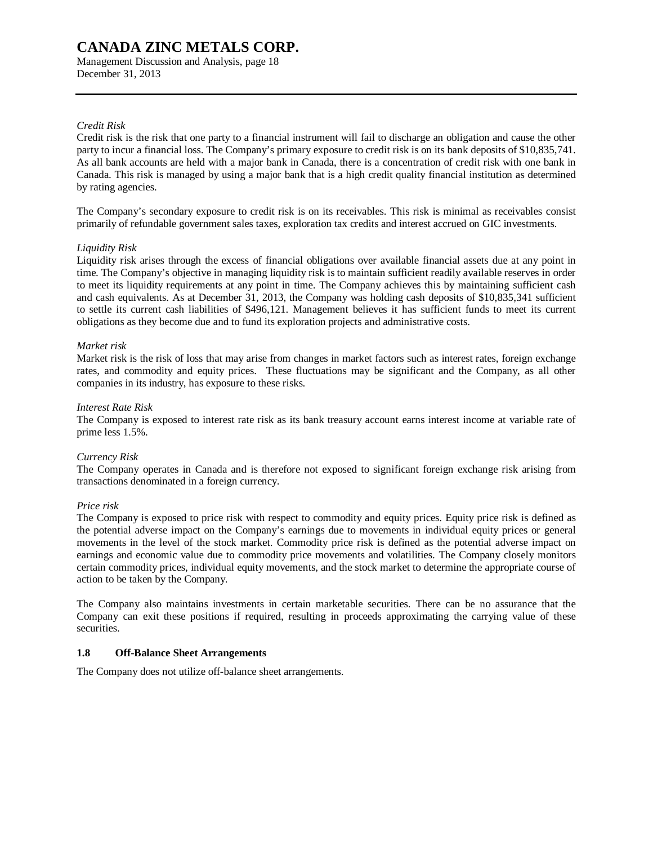Management Discussion and Analysis, page 18 December 31, 2013

#### *Credit Risk*

Credit risk is the risk that one party to a financial instrument will fail to discharge an obligation and cause the other party to incur a financial loss. The Company's primary exposure to credit risk is on its bank deposits of \$10,835,741. As all bank accounts are held with a major bank in Canada, there is a concentration of credit risk with one bank in Canada. This risk is managed by using a major bank that is a high credit quality financial institution as determined by rating agencies.

The Company's secondary exposure to credit risk is on its receivables. This risk is minimal as receivables consist primarily of refundable government sales taxes, exploration tax credits and interest accrued on GIC investments.

#### *Liquidity Risk*

Liquidity risk arises through the excess of financial obligations over available financial assets due at any point in time. The Company's objective in managing liquidity risk is to maintain sufficient readily available reserves in order to meet its liquidity requirements at any point in time. The Company achieves this by maintaining sufficient cash and cash equivalents. As at December 31, 2013, the Company was holding cash deposits of \$10,835,341 sufficient to settle its current cash liabilities of \$496,121. Management believes it has sufficient funds to meet its current obligations as they become due and to fund its exploration projects and administrative costs.

#### *Market risk*

Market risk is the risk of loss that may arise from changes in market factors such as interest rates, foreign exchange rates, and commodity and equity prices. These fluctuations may be significant and the Company, as all other companies in its industry, has exposure to these risks.

#### *Interest Rate Risk*

The Company is exposed to interest rate risk as its bank treasury account earns interest income at variable rate of prime less 1.5%.

#### *Currency Risk*

The Company operates in Canada and is therefore not exposed to significant foreign exchange risk arising from transactions denominated in a foreign currency.

#### *Price risk*

The Company is exposed to price risk with respect to commodity and equity prices. Equity price risk is defined as the potential adverse impact on the Company's earnings due to movements in individual equity prices or general movements in the level of the stock market. Commodity price risk is defined as the potential adverse impact on earnings and economic value due to commodity price movements and volatilities. The Company closely monitors certain commodity prices, individual equity movements, and the stock market to determine the appropriate course of action to be taken by the Company.

The Company also maintains investments in certain marketable securities. There can be no assurance that the Company can exit these positions if required, resulting in proceeds approximating the carrying value of these securities.

#### **1.8 Off-Balance Sheet Arrangements**

The Company does not utilize off-balance sheet arrangements.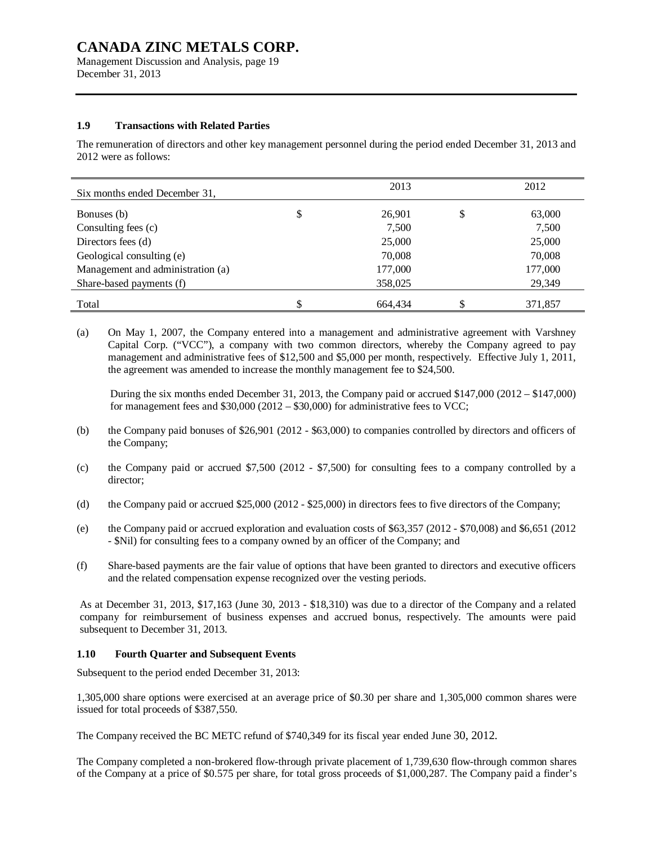Management Discussion and Analysis, page 19 December 31, 2013

#### **1.9 Transactions with Related Parties**

The remuneration of directors and other key management personnel during the period ended December 31, 2013 and 2012 were as follows:

| Six months ended December 31,     | 2013         |   | 2012    |
|-----------------------------------|--------------|---|---------|
| Bonuses (b)                       | \$<br>26,901 | D | 63,000  |
| Consulting fees (c)               | 7,500        |   | 7,500   |
| Directors fees (d)                | 25,000       |   | 25,000  |
| Geological consulting (e)         | 70,008       |   | 70,008  |
| Management and administration (a) | 177,000      |   | 177,000 |
| Share-based payments (f)          | 358,025      |   | 29,349  |
| Total                             | 664.434      |   | 371,857 |

(a) On May 1, 2007, the Company entered into a management and administrative agreement with Varshney Capital Corp. ("VCC"), a company with two common directors, whereby the Company agreed to pay management and administrative fees of \$12,500 and \$5,000 per month, respectively. Effective July 1, 2011, the agreement was amended to increase the monthly management fee to \$24,500.

During the six months ended December 31, 2013, the Company paid or accrued \$147,000 (2012 – \$147,000) for management fees and  $$30,000 (2012 - $30,000)$  for administrative fees to VCC;

- (b) the Company paid bonuses of \$26,901 (2012 \$63,000) to companies controlled by directors and officers of the Company;
- (c) the Company paid or accrued \$7,500 (2012 \$7,500) for consulting fees to a company controlled by a director;
- (d) the Company paid or accrued \$25,000 (2012 \$25,000) in directors fees to five directors of the Company;
- (e) the Company paid or accrued exploration and evaluation costs of \$63,357 (2012 \$70,008) and \$6,651 (2012 - \$Nil) for consulting fees to a company owned by an officer of the Company; and
- (f) Share-based payments are the fair value of options that have been granted to directors and executive officers and the related compensation expense recognized over the vesting periods.

As at December 31, 2013, \$17,163 (June 30, 2013 - \$18,310) was due to a director of the Company and a related company for reimbursement of business expenses and accrued bonus, respectively. The amounts were paid subsequent to December 31, 2013.

#### **1.10 Fourth Quarter and Subsequent Events**

Subsequent to the period ended December 31, 2013:

1,305,000 share options were exercised at an average price of \$0.30 per share and 1,305,000 common shares were issued for total proceeds of \$387,550.

The Company received the BC METC refund of \$740,349 for its fiscal year ended June 30, 2012.

The Company completed a non-brokered flow-through private placement of 1,739,630 flow-through common shares of the Company at a price of \$0.575 per share, for total gross proceeds of \$1,000,287. The Company paid a finder's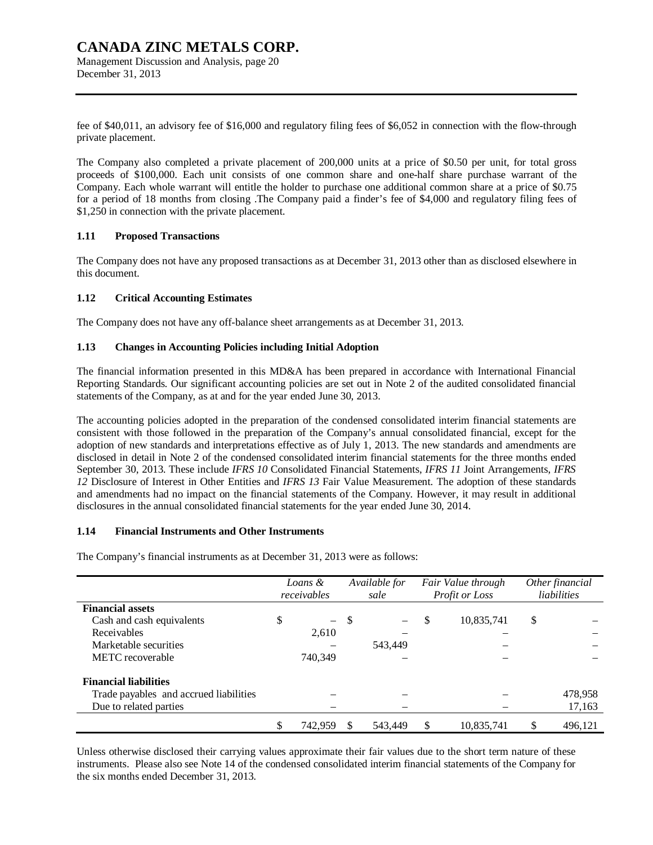## **CANADA ZINC METALS CORP.**  Management Discussion and Analysis, page 20

December 31, 2013

fee of \$40,011, an advisory fee of \$16,000 and regulatory filing fees of \$6,052 in connection with the flow-through private placement.

The Company also completed a private placement of 200,000 units at a price of \$0.50 per unit, for total gross proceeds of \$100,000. Each unit consists of one common share and one-half share purchase warrant of the Company. Each whole warrant will entitle the holder to purchase one additional common share at a price of \$0.75 for a period of 18 months from closing .The Company paid a finder's fee of \$4,000 and regulatory filing fees of \$1,250 in connection with the private placement.

#### **1.11 Proposed Transactions**

The Company does not have any proposed transactions as at December 31, 2013 other than as disclosed elsewhere in this document.

#### **1.12 Critical Accounting Estimates**

The Company does not have any off-balance sheet arrangements as at December 31, 2013.

#### **1.13 Changes in Accounting Policies including Initial Adoption**

The financial information presented in this MD&A has been prepared in accordance with International Financial Reporting Standards. Our significant accounting policies are set out in Note 2 of the audited consolidated financial statements of the Company, as at and for the year ended June 30, 2013.

The accounting policies adopted in the preparation of the condensed consolidated interim financial statements are consistent with those followed in the preparation of the Company's annual consolidated financial, except for the adoption of new standards and interpretations effective as of July 1, 2013. The new standards and amendments are disclosed in detail in Note 2 of the condensed consolidated interim financial statements for the three months ended September 30, 2013. These include *IFRS 10* Consolidated Financial Statements, *IFRS 11* Joint Arrangements, *IFRS 12* Disclosure of Interest in Other Entities and *IFRS 13* Fair Value Measurement. The adoption of these standards and amendments had no impact on the financial statements of the Company. However, it may result in additional disclosures in the annual consolidated financial statements for the year ended June 30, 2014.

#### **1.14 Financial Instruments and Other Instruments**

The Company's financial instruments as at December 31, 2013 were as follows:

|                                        | Loans &<br>receivables |        | Available for<br>sale | Fair Value through<br>Profit or Loss |            | Other financial<br>liabilities |
|----------------------------------------|------------------------|--------|-----------------------|--------------------------------------|------------|--------------------------------|
| <b>Financial assets</b>                |                        |        |                       |                                      |            |                                |
| Cash and cash equivalents              | \$                     | $-$ \$ |                       | S                                    | 10,835,741 | \$                             |
| Receivables                            | 2,610                  |        |                       |                                      |            |                                |
| Marketable securities                  |                        |        | 543.449               |                                      |            |                                |
| METC recoverable                       | 740,349                |        |                       |                                      |            |                                |
| <b>Financial liabilities</b>           |                        |        |                       |                                      |            |                                |
| Trade payables and accrued liabilities |                        |        |                       |                                      |            | 478,958                        |
| Due to related parties                 |                        |        |                       |                                      |            | 17,163                         |
|                                        | \$<br>742.959          |        | 543.449               | \$                                   | 10,835,741 | 496.121                        |

Unless otherwise disclosed their carrying values approximate their fair values due to the short term nature of these instruments. Please also see Note 14 of the condensed consolidated interim financial statements of the Company for the six months ended December 31, 2013.